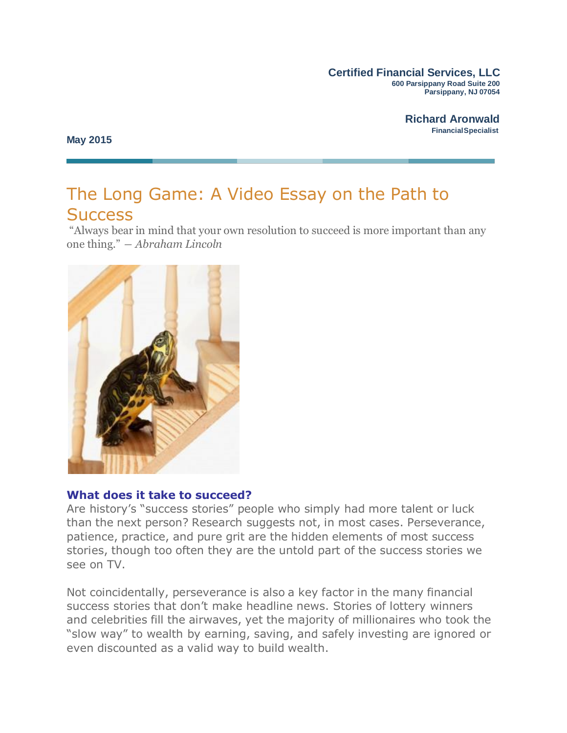#### **Certified Financial Services, LLC 600 Parsippany Road Suite 200 Parsippany, NJ 07054**

**May 2015**

# The Long Game: A Video Essay on the Path to **Success**

"Always bear in mind that your own resolution to succeed is more important than any one thing." *― Abraham Lincoln*



### **What does it take to succeed?**

Are history's "success stories" people who simply had more talent or luck than the next person? Research suggests not, in most cases. Perseverance, patience, practice, and pure grit are the hidden elements of most success stories, though too often they are the untold part of the success stories we see on TV.

Not coincidentally, perseverance is also a key factor in the many financial success stories that don't make headline news. Stories of lottery winners and celebrities fill the airwaves, yet the majority of millionaires who took the "slow way" to wealth by earning, saving, and safely investing are ignored or even discounted as a valid way to build wealth.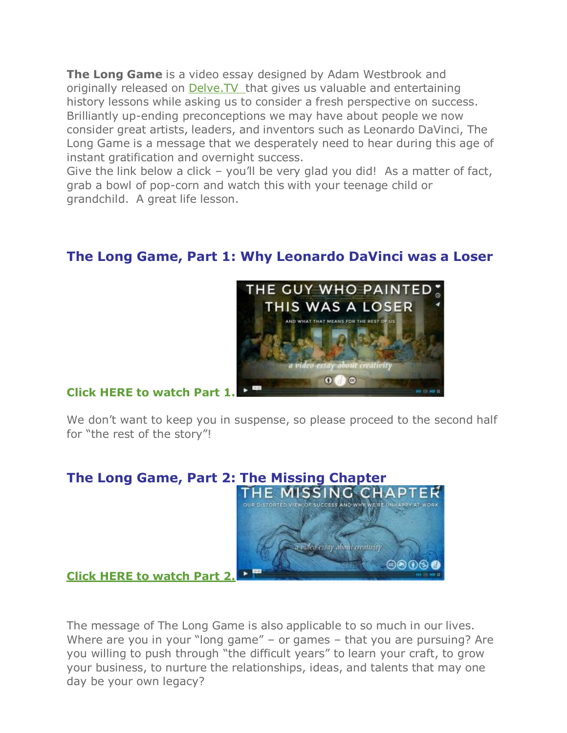**The Long Game** is a video essay designed by Adam Westbrook and originally released on [Delve.TV](http://delve.tv/) that gives us valuable and entertaining history lessons while asking us to consider a fresh perspective on success. Brilliantly up-ending preconceptions we may have about people we now consider great artists, leaders, and inventors such as Leonardo DaVinci, The Long Game is a message that we desperately need to hear during this age of instant gratification and overnight success.

Give the link below a click – you'll be very glad you did! As a matter of fact, grab a bowl of pop-corn and watch this with your teenage child or grandchild. A great life lesson.

## **The Long Game, Part 1: Why Leonardo DaVinci was a Loser**



### **Click HERE to [watch Part](http://vimeo.com/84022735) 1.**

We don't want to keep you in suspense, so please proceed to the second half for "the rest of the story"!



The message of The Long Game is also applicable to so much in our lives. Where are you in your "long game" – or games – that you are pursuing? Are you willing to push through "the difficult years" to learn your craft, to grow your business, to nurture the relationships, ideas, and talents that may one day be your own legacy?